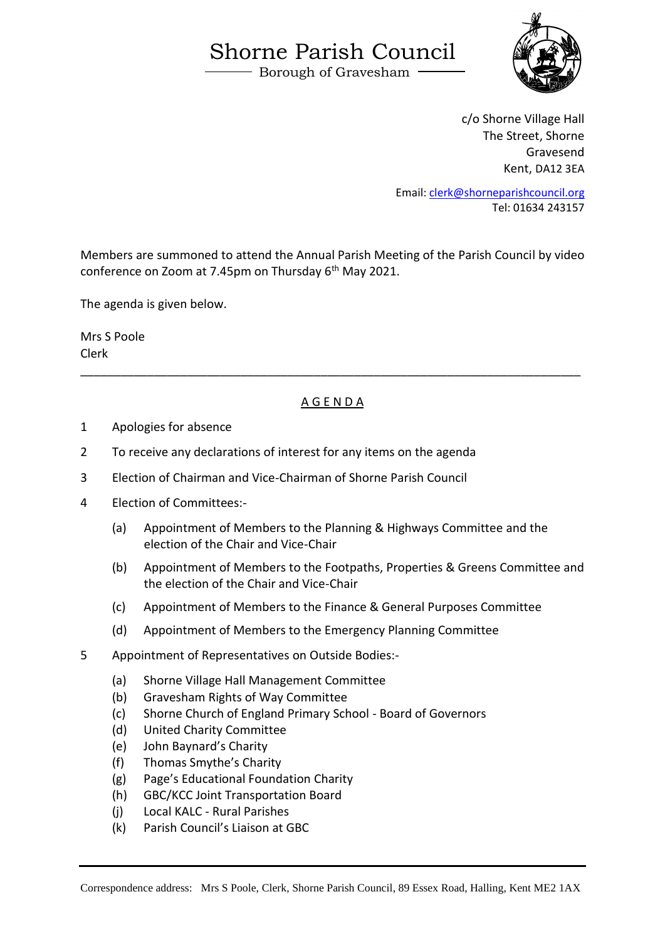## Shorne Parish Council

Borough of Gravesham



c/o Shorne Village Hall The Street, Shorne Gravesend Kent, DA12 3EA

Email: [clerk@shorneparishcouncil.org](mailto:clerk@shorneparishcouncil.org) Tel: 01634 243157

Members are summoned to attend the Annual Parish Meeting of the Parish Council by video conference on Zoom at 7.45pm on Thursday 6<sup>th</sup> May 2021.

The agenda is given below.

Mrs S Poole Clerk

## A G E N D A

\_\_\_\_\_\_\_\_\_\_\_\_\_\_\_\_\_\_\_\_\_\_\_\_\_\_\_\_\_\_\_\_\_\_\_\_\_\_\_\_\_\_\_\_\_\_\_\_\_\_\_\_\_\_\_\_\_\_\_\_\_\_\_\_\_\_\_\_\_\_\_\_\_\_\_

- 1 Apologies for absence
- 2 To receive any declarations of interest for any items on the agenda
- 3 Election of Chairman and Vice-Chairman of Shorne Parish Council
- 4 Election of Committees:-
	- (a) Appointment of Members to the Planning & Highways Committee and the election of the Chair and Vice-Chair
	- (b) Appointment of Members to the Footpaths, Properties & Greens Committee and the election of the Chair and Vice-Chair
	- (c) Appointment of Members to the Finance & General Purposes Committee
	- (d) Appointment of Members to the Emergency Planning Committee
- 5 Appointment of Representatives on Outside Bodies:-
	- (a) Shorne Village Hall Management Committee
	- (b) Gravesham Rights of Way Committee
	- (c) Shorne Church of England Primary School Board of Governors
	- (d) United Charity Committee
	- (e) John Baynard's Charity
	- (f) Thomas Smythe's Charity
	- (g) Page's Educational Foundation Charity
	- (h) GBC/KCC Joint Transportation Board
	- (j) Local KALC Rural Parishes
	- (k) Parish Council's Liaison at GBC